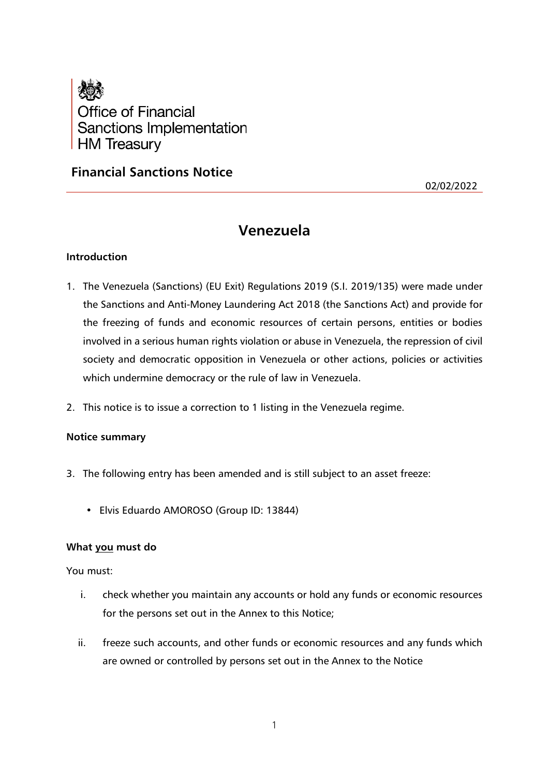

# **Financial Sanctions Notice**

02/02/2022

# **Venezuela**

## **Introduction**

- 1. The Venezuela (Sanctions) (EU Exit) Regulations 2019 (S.I. 2019/135) were made under the Sanctions and Anti-Money Laundering Act 2018 (the Sanctions Act) and provide for the freezing of funds and economic resources of certain persons, entities or bodies involved in a serious human rights violation or abuse in Venezuela, the repression of civil society and democratic opposition in Venezuela or other actions, policies or activities which undermine democracy or the rule of law in Venezuela.
- 2. This notice is to issue a correction to 1 listing in the Venezuela regime.

#### **Notice summary**

- 3. The following entry has been amended and is still subject to an asset freeze:
	- Elvis Eduardo AMOROSO (Group ID: 13844)

#### **What you must do**

You must:

- i. check whether you maintain any accounts or hold any funds or economic resources for the persons set out in the Annex to this Notice;
- ii. freeze such accounts, and other funds or economic resources and any funds which are owned or controlled by persons set out in the Annex to the Notice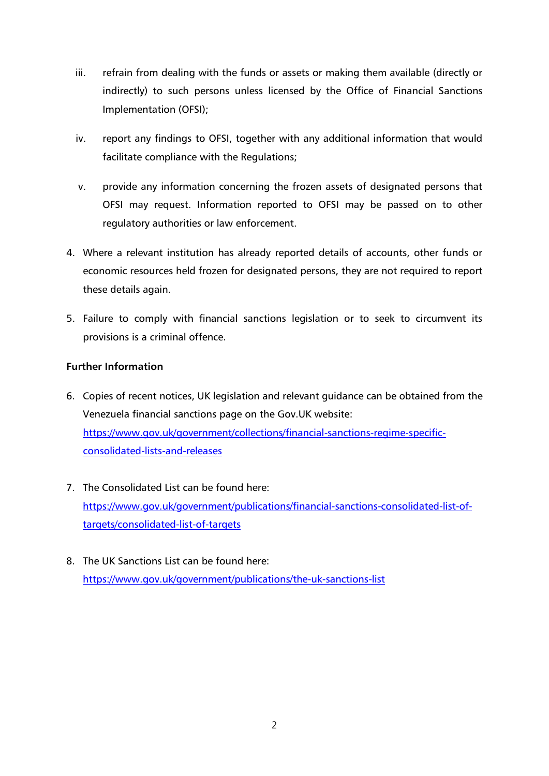- iii. refrain from dealing with the funds or assets or making them available (directly or indirectly) to such persons unless licensed by the Office of Financial Sanctions Implementation (OFSI);
- iv. report any findings to OFSI, together with any additional information that would facilitate compliance with the Regulations;
- v. provide any information concerning the frozen assets of designated persons that OFSI may request. Information reported to OFSI may be passed on to other regulatory authorities or law enforcement.
- 4. Where a relevant institution has already reported details of accounts, other funds or economic resources held frozen for designated persons, they are not required to report these details again.
- 5. Failure to comply with financial sanctions legislation or to seek to circumvent its provisions is a criminal offence.

# **Further Information**

- 6. Copies of recent notices, UK legislation and relevant guidance can be obtained from the Venezuela financial sanctions page on the Gov.UK website: [https://www.gov.uk/government/collections/financial-sanctions-regime-specific](https://www.gov.uk/government/collections/financial-sanctions-regime-specific-consolidated-lists-and-releases)[consolidated-lists-and-releases](https://www.gov.uk/government/collections/financial-sanctions-regime-specific-consolidated-lists-and-releases)
- 7. The Consolidated List can be found here: [https://www.gov.uk/government/publications/financial-sanctions-consolidated-list-of](https://www.gov.uk/government/publications/financial-sanctions-consolidated-list-of-targets/consolidated-list-of-targets)[targets/consolidated-list-of-targets](https://www.gov.uk/government/publications/financial-sanctions-consolidated-list-of-targets/consolidated-list-of-targets)
- 8. The UK Sanctions List can be found here: <https://www.gov.uk/government/publications/the-uk-sanctions-list>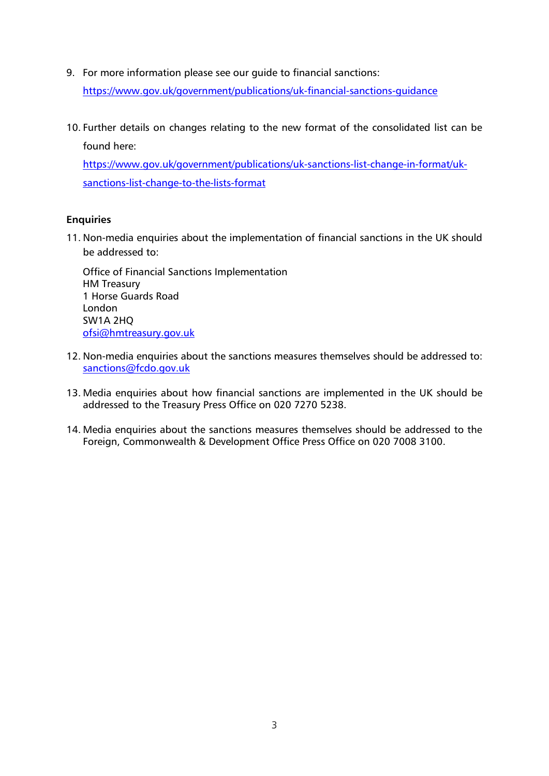9. For more information please see our guide to financial sanctions:

<https://www.gov.uk/government/publications/uk-financial-sanctions-guidance>

10. Further details on changes relating to the new format of the consolidated list can be found here:

[https://www.gov.uk/government/publications/uk-sanctions-list-change-in-format/uk](https://www.gov.uk/government/publications/uk-sanctions-list-change-in-format/uk-sanctions-list-change-to-the-lists-format)[sanctions-list-change-to-the-lists-format](https://www.gov.uk/government/publications/uk-sanctions-list-change-in-format/uk-sanctions-list-change-to-the-lists-format)

# **Enquiries**

11. Non-media enquiries about the implementation of financial sanctions in the UK should be addressed to:

Office of Financial Sanctions Implementation HM Treasury 1 Horse Guards Road London SW1A 2HQ [ofsi@hmtreasury.gov.uk](mailto:ofsi@hmtreasury.gov.uk)

- 12. Non-media enquiries about the sanctions measures themselves should be addressed to: [sanctions@fcdo.gov.uk](mailto:sanctions@fcdo.gov.uk)
- 13. Media enquiries about how financial sanctions are implemented in the UK should be addressed to the Treasury Press Office on 020 7270 5238.
- 14. Media enquiries about the sanctions measures themselves should be addressed to the Foreign, Commonwealth & Development Office Press Office on 020 7008 3100.